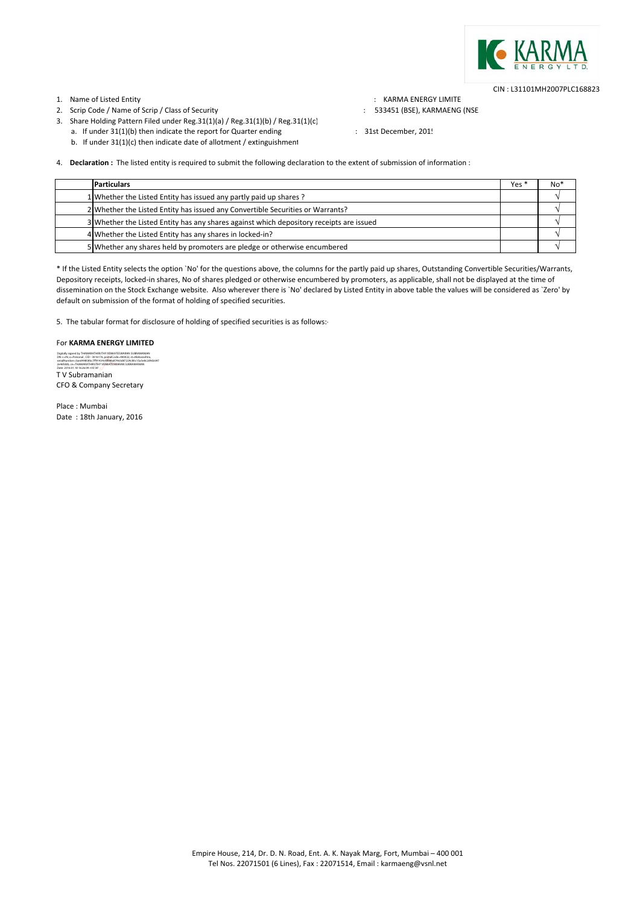

CIN : L31101MH2007PLC168823

# 1. Name of Listed Entity **State of Listed Entity** and the state of the state of the state of the state of the state of the state of the state of the state of the state of the state of the state of the state of the state of

2. Scrip Code / Name of Scrip / Class of Security : 533451 (BSE), KARMAENG (NSE

- 3. Share Holding Pattern Filed under Reg.31(1)(a) / Reg.31(1)(b) / Reg.31(1)(c)
- a. If under 31(1)(b) then indicate the report for Quarter ending  $\qquad \qquad$  : 31st December, 201!
- b. If under 31(1)(c) then indicate date of allotment / extinguishment

4. **Declaration :** The listed entity is required to submit the following declaration to the extent of submission of information :

| <b>Particulars</b>                                                                      | Yes <sup>*</sup> | No* |
|-----------------------------------------------------------------------------------------|------------------|-----|
| 1 Whether the Listed Entity has issued any partly paid up shares ?                      |                  |     |
| 2 Whether the Listed Entity has issued any Convertible Securities or Warrants?          |                  |     |
| 3 Whether the Listed Entity has any shares against which depository receipts are issued |                  |     |
| 4 Whether the Listed Entity has any shares in locked-in?                                |                  |     |
| 5 Whether any shares held by promoters are pledge or otherwise encumbered               |                  |     |

\* If the Listed Entity selects the option `No' for the questions above, the columns for the partly paid up shares, Outstanding Convertible Securities/Warrants, Depository receipts, locked-in shares, No of shares pledged or otherwise encumbered by promoters, as applicable, shall not be displayed at the time of dissemination on the Stock Exchange website. Also wherever there is `No' declared by Listed Entity in above table the values will be considered as `Zero' by default on submission of the format of holding of specified securities.

5. The tabular format for disclosure of holding of specified securities is as follows:‐

# For **KARMA ENERGY LIMITED**

T V Subramanian CFO & Company Secretary Digitally signed by THAMARATHIRUTHY VENKATESWARAN SUBRAMANIAN<br>DN: c=IN, o=Personal , CID - 3016 76, postalCode=000022, st-Maharashtra,<br>seriaNumber=3aed49858bc7ff91434c9f898a87463d87229c80c15a5e8c2d9dc697<br>2e46fddb, cn=THAMA Date: 2016.01.18 16:26:09 +05'30'

Place : Mumbai Date: 18th January, 2016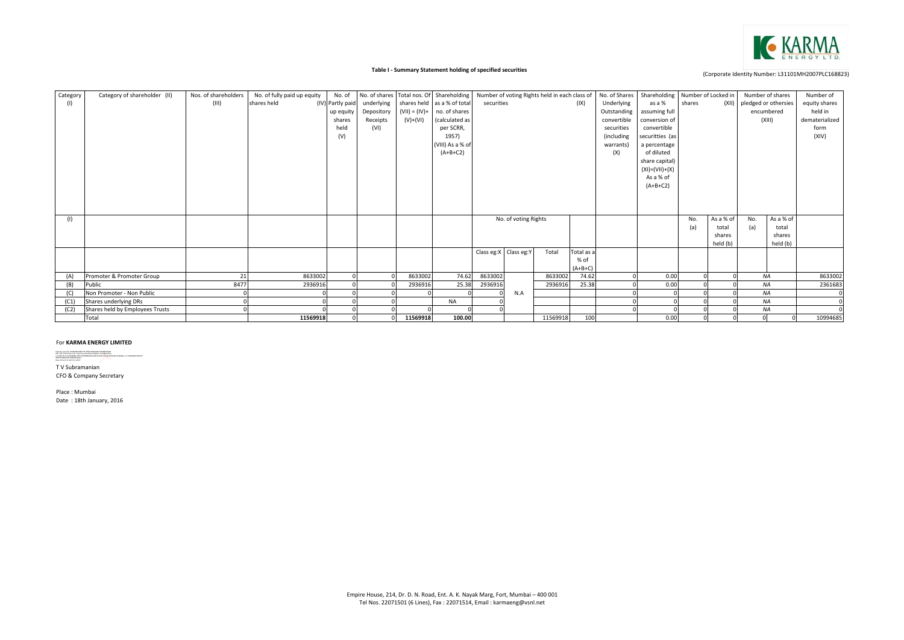

## **Table I ‐ Summary Statement holding of specified securities**

| Category | Category of shareholder (II)                       | Nos. of shareholders | No. of fully paid up equity | No. of           |            |            | No. of shares Total nos. Of Shareholding |            |                       | Number of voting Rights held in each class of |            | No. of Shares | Shareholding Number of Locked in |        |           |     | Number of shares           | Number of      |
|----------|----------------------------------------------------|----------------------|-----------------------------|------------------|------------|------------|------------------------------------------|------------|-----------------------|-----------------------------------------------|------------|---------------|----------------------------------|--------|-----------|-----|----------------------------|----------------|
| (1)      |                                                    | (III)                | shares held                 | (IV) Partly paid | underlying |            | shares held as a % of total              | securities |                       |                                               | (IX)       | Underlying    | as a %                           | shares |           |     | (XII) pledged or othersies | equity shares  |
|          |                                                    |                      |                             | up equity        | Depository |            | $(VII) = (IV) +$ no. of shares           |            |                       |                                               |            | Outstanding   | assuming full                    |        |           |     | encumbered                 | held in        |
|          |                                                    |                      |                             | shares           | Receipts   | $(V)+(VI)$ | (calculated as                           |            |                       |                                               |            | convertible   | conversion of                    |        |           |     | (XIII)                     | dematerialized |
|          |                                                    |                      |                             | held             | (VI)       |            | per SCRR,                                |            |                       |                                               |            | securities    | convertible                      |        |           |     |                            | form           |
|          |                                                    |                      |                             | (V)              |            |            | 1957)                                    |            |                       |                                               |            | (including    | securitties (as                  |        |           |     |                            | (XIV)          |
|          |                                                    |                      |                             |                  |            |            | (VIII) As a % of                         |            |                       |                                               |            | warrants)     | a percentage                     |        |           |     |                            |                |
|          |                                                    |                      |                             |                  |            |            | $(A+B+C2)$                               |            |                       |                                               |            | (X)           | of diluted                       |        |           |     |                            |                |
|          |                                                    |                      |                             |                  |            |            |                                          |            |                       |                                               |            |               | share capital)                   |        |           |     |                            |                |
|          |                                                    |                      |                             |                  |            |            |                                          |            |                       |                                               |            |               | $(XI) = (VII) + (X)$             |        |           |     |                            |                |
|          |                                                    |                      |                             |                  |            |            |                                          |            |                       |                                               |            |               | As a % of                        |        |           |     |                            |                |
|          |                                                    |                      |                             |                  |            |            |                                          |            |                       |                                               |            |               | $(A+B+C2)$                       |        |           |     |                            |                |
|          |                                                    |                      |                             |                  |            |            |                                          |            |                       |                                               |            |               |                                  |        |           |     |                            |                |
|          |                                                    |                      |                             |                  |            |            |                                          |            |                       |                                               |            |               |                                  |        |           |     |                            |                |
|          |                                                    |                      |                             |                  |            |            |                                          |            |                       |                                               |            |               |                                  |        |           |     |                            |                |
| (1)      |                                                    |                      |                             |                  |            |            |                                          |            | No. of voting Rights  |                                               |            |               |                                  | No.    | As a % of | No. | As a % of                  |                |
|          |                                                    |                      |                             |                  |            |            |                                          |            |                       |                                               |            |               |                                  | (a)    | total     | (a) | total                      |                |
|          |                                                    |                      |                             |                  |            |            |                                          |            |                       |                                               |            |               |                                  |        | shares    |     | shares                     |                |
|          |                                                    |                      |                             |                  |            |            |                                          |            |                       |                                               |            |               |                                  |        | held (b)  |     | held (b)                   |                |
|          |                                                    |                      |                             |                  |            |            |                                          |            | Class eg:X Class eg:Y | Total                                         | Total as a |               |                                  |        |           |     |                            |                |
|          |                                                    |                      |                             |                  |            |            |                                          |            |                       |                                               | % of       |               |                                  |        |           |     |                            |                |
|          |                                                    |                      |                             |                  |            |            |                                          |            |                       |                                               | $(A+B+C)$  |               |                                  |        |           |     |                            |                |
| (A)      | Promoter & Promoter Group                          | 21<br>8477           | 8633002                     |                  |            | 8633002    | 74.62                                    | 8633002    |                       | 8633002                                       | 74.62      |               | 0.00<br>0.00                     |        |           |     | <b>NA</b>                  | 8633002        |
| (B)      | Public                                             |                      | 2936916                     |                  |            | 2936916    | 25.38                                    | 2936916    |                       | 2936916                                       | 25.38      |               |                                  |        |           |     | NA                         | 2361683        |
|          | Non Promoter - Non Public<br>Shares underlying DRs |                      |                             |                  |            |            | <b>NA</b>                                |            | N.A                   |                                               |            |               |                                  |        |           |     | NA<br><b>NA</b>            |                |
| (C1)     |                                                    |                      |                             |                  |            |            |                                          |            |                       |                                               |            |               |                                  |        |           |     |                            |                |
| (C2)     | Shares held by Employees Trusts<br>Total           |                      | 11569918                    |                  |            | 11569918   | 100.00                                   |            |                       | 11569918                                      | 100        |               | 0.00                             |        |           |     | <b>NA</b>                  | 10994685       |
|          |                                                    |                      |                             |                  |            |            |                                          |            |                       |                                               |            |               |                                  |        |           |     |                            |                |

#### For **KARMA ENERGY LIMITED**

T V Subramanian CFO & Company Secretary Digitally agend by THARMACHURUMY VENEXULTARINGUS SUBMARANAN<br>DN colli, and Presental , CD - DDSUTH, positivital de MOSCL, ul-Mañoradora<br>collidatorism dans MERCHURUMY VEN MONTENER MOSCLI (2004), al positivita de Moscli de MO

Place : Mumbai Date : 18th January, 2016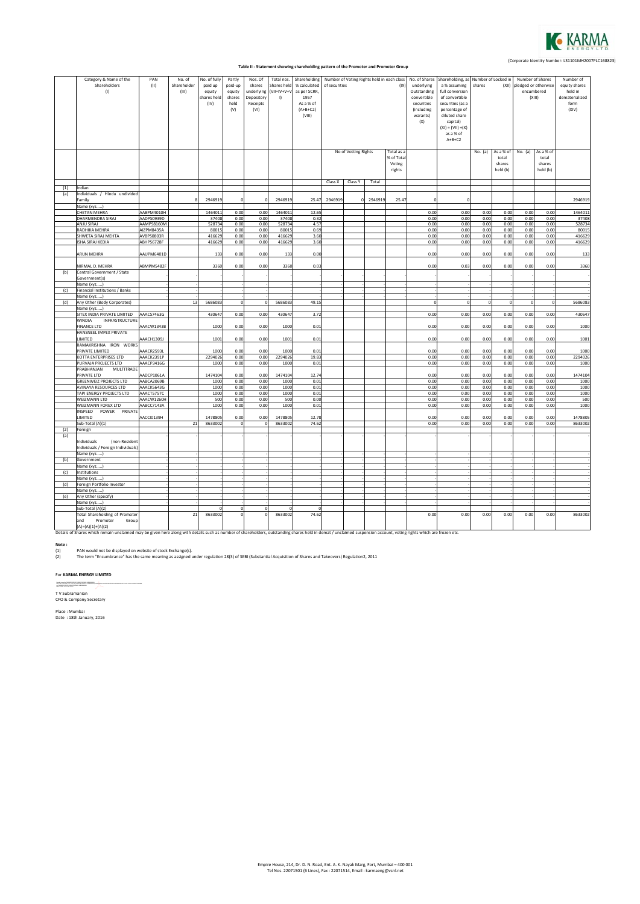

## (Corporate Identity Number: L31101MH2007PLC168823) **Table II ‐ Statement showing shareholding pattern of the Promoter and Promoter Group**

|     | Category & Name of the<br>Shareholders<br>(1)                                                                                                                                                                      | PAN<br>$(\mathsf{II})$   | No. of<br>Shareholder<br>(III) | No. of fully<br>paid up<br>equity<br>shares held<br>(IV) | Partly<br>paid-up<br>equity<br>shares<br>held<br>(V) | Nos. Of<br>shares<br>underlying<br>Depository<br>Receipts<br>(VI) | Total nos.<br>Shares held<br>$(VII=IV+V+V)$<br>$\left  \cdot \right $ | Shareholding<br>% calculated<br>as per SCRR,<br>1957<br>As a % of<br>$(A+B+C2)$<br>(VIII) | of securities | No of Votting Rights | Number of Voting Rights held in each class | (IX)<br>Total as a<br>% of Total<br>Voting | No. of Shares<br>underlying<br>Outstanding<br>convertible<br>securities<br>(including<br>warants)<br>(X) | Shareholding, as Number of Locked in<br>a % assuming<br>full conversion<br>of convertible<br>securities (as a<br>percentage of<br>diluted share<br>capital)<br>$(XI) = (VII) + (X)$<br>as a % of<br>$A+B+C2$ | shares<br>No. (a) | (XII)<br>As a % of<br>total<br>shares | encumbered<br>No. (a) | Number of Shares<br>pledged or otherwise<br>(XIII)<br>As a % of<br>total<br>shares | Number of<br>equity shares<br>held in<br>dematerialized<br>form<br>(XIV) |
|-----|--------------------------------------------------------------------------------------------------------------------------------------------------------------------------------------------------------------------|--------------------------|--------------------------------|----------------------------------------------------------|------------------------------------------------------|-------------------------------------------------------------------|-----------------------------------------------------------------------|-------------------------------------------------------------------------------------------|---------------|----------------------|--------------------------------------------|--------------------------------------------|----------------------------------------------------------------------------------------------------------|--------------------------------------------------------------------------------------------------------------------------------------------------------------------------------------------------------------|-------------------|---------------------------------------|-----------------------|------------------------------------------------------------------------------------|--------------------------------------------------------------------------|
|     |                                                                                                                                                                                                                    |                          |                                |                                                          |                                                      |                                                                   |                                                                       |                                                                                           | Class X       | Class Y              |                                            | rights                                     |                                                                                                          |                                                                                                                                                                                                              |                   | held (b)                              |                       | held (b)                                                                           |                                                                          |
| (1) | Indian                                                                                                                                                                                                             |                          |                                |                                                          |                                                      |                                                                   |                                                                       |                                                                                           |               |                      | Total                                      |                                            |                                                                                                          |                                                                                                                                                                                                              |                   |                                       |                       |                                                                                    |                                                                          |
| (a) | Individuals / Hindu undivided                                                                                                                                                                                      |                          |                                |                                                          |                                                      |                                                                   |                                                                       |                                                                                           |               |                      |                                            |                                            |                                                                                                          |                                                                                                                                                                                                              |                   |                                       |                       |                                                                                    |                                                                          |
|     | Family                                                                                                                                                                                                             |                          |                                | 2946919                                                  | $\Omega$                                             |                                                                   | 2946919                                                               | 25.47                                                                                     | 294691        |                      | 2946919                                    | 25.47                                      |                                                                                                          |                                                                                                                                                                                                              |                   |                                       |                       |                                                                                    | 2946919                                                                  |
|     | Name (xyz)                                                                                                                                                                                                         |                          |                                |                                                          |                                                      |                                                                   |                                                                       |                                                                                           |               |                      |                                            |                                            |                                                                                                          |                                                                                                                                                                                                              |                   |                                       |                       |                                                                                    |                                                                          |
|     | CHETAN MEHRA                                                                                                                                                                                                       | AABPM4010H               |                                | 1464011                                                  | 0.00                                                 | 0.00                                                              | 146401:                                                               | 12.65                                                                                     |               |                      |                                            |                                            | 0.00                                                                                                     | 0.00                                                                                                                                                                                                         | 0.00              | 0.00                                  | 0.00                  | 0.00                                                                               | 1464011                                                                  |
|     | DHARMENDRA SIRAJ<br>ANJU SIRAJ                                                                                                                                                                                     | AADPS0939D<br>AAMPS8160M |                                | 37408<br>528734                                          | 0.00<br>0.00                                         | 0.00<br>0.00                                                      | 37408<br>528734                                                       | 0.32<br>4.57                                                                              |               |                      |                                            |                                            | 0.00<br>0.00                                                                                             | 0.00<br>0.00                                                                                                                                                                                                 | 0.00<br>0.00      | 0.00<br>0.00                          | 0.00<br>0.00          | 0.00<br>0.00                                                                       | 37408<br>528734                                                          |
|     | RADHIKA MEHRA                                                                                                                                                                                                      | AIZPM8435A               |                                | 80015                                                    | 0.00                                                 | 0.00                                                              | 8001                                                                  | 0.69                                                                                      |               |                      |                                            |                                            | 0.00                                                                                                     | 0.00                                                                                                                                                                                                         | 0.00              | 0.00                                  | 0.00                  | 0.00                                                                               | 80015                                                                    |
|     | SHWETA SIRAJ MEHTA                                                                                                                                                                                                 | AVBPS0803R               |                                | 416629                                                   | 0.00                                                 | 0.00                                                              | 416629                                                                | 3.60                                                                                      |               |                      |                                            |                                            | 0.00                                                                                                     | 0.00                                                                                                                                                                                                         | 0.00              | 0.00                                  | 0.00                  | 0.00                                                                               | 416629                                                                   |
|     | ISHA SIRAJ KEDIA                                                                                                                                                                                                   | ABHPS6728F               |                                | 416629                                                   | 0.00                                                 | 0.00                                                              | 416629                                                                | 3.60                                                                                      |               |                      |                                            |                                            | 0.00                                                                                                     | 0.00                                                                                                                                                                                                         | 0.00              | 0.00                                  | 0.00                  | 0.00                                                                               | 416629                                                                   |
|     |                                                                                                                                                                                                                    |                          |                                |                                                          |                                                      |                                                                   |                                                                       |                                                                                           |               |                      |                                            |                                            |                                                                                                          |                                                                                                                                                                                                              |                   |                                       |                       |                                                                                    |                                                                          |
|     | ARUN MEHRA                                                                                                                                                                                                         | AAUPM6401D               |                                | 133                                                      | 0.00                                                 | 0.00                                                              | 133                                                                   | 0.00                                                                                      |               |                      |                                            |                                            | 0.00                                                                                                     | 0.00                                                                                                                                                                                                         | 0.00              | 0.00                                  | 0.00                  | 0.00                                                                               | 133                                                                      |
|     | NIRMAL D. MEHRA                                                                                                                                                                                                    | ABMPM5482F               |                                | 3360                                                     | 0.00                                                 | 0.00                                                              | 3360                                                                  | 0.03                                                                                      |               |                      |                                            |                                            | 0.00                                                                                                     | 0.03                                                                                                                                                                                                         | 0.00              | 0.00                                  | 0.00                  | 0.00                                                                               | 3360                                                                     |
| (b) | Central Government / State                                                                                                                                                                                         |                          |                                |                                                          |                                                      |                                                                   |                                                                       |                                                                                           |               |                      |                                            |                                            |                                                                                                          |                                                                                                                                                                                                              |                   |                                       |                       |                                                                                    |                                                                          |
|     | Government(s)<br>Name (xyz)                                                                                                                                                                                        |                          |                                |                                                          |                                                      |                                                                   |                                                                       |                                                                                           |               |                      |                                            |                                            |                                                                                                          |                                                                                                                                                                                                              |                   |                                       |                       |                                                                                    |                                                                          |
| (c) | Financial Institutions / Banks                                                                                                                                                                                     |                          |                                |                                                          |                                                      |                                                                   |                                                                       |                                                                                           |               |                      |                                            |                                            |                                                                                                          |                                                                                                                                                                                                              |                   |                                       |                       |                                                                                    |                                                                          |
|     | Name (xyz)                                                                                                                                                                                                         |                          |                                |                                                          |                                                      |                                                                   |                                                                       |                                                                                           |               |                      |                                            |                                            |                                                                                                          |                                                                                                                                                                                                              |                   |                                       |                       |                                                                                    |                                                                          |
| (d) | Any Other (Body Corporates)                                                                                                                                                                                        |                          | 13                             | 5686083                                                  | $\overline{0}$                                       | $\mathbf 0$                                                       | 5686083                                                               | 49.15                                                                                     |               |                      |                                            |                                            | $\Omega$                                                                                                 | $\Omega$                                                                                                                                                                                                     | $\mathbf 0$       | $\Omega$                              | $\overline{0}$        | $\mathbf 0$                                                                        | 5686083                                                                  |
|     | Name (xyz)                                                                                                                                                                                                         |                          |                                |                                                          |                                                      |                                                                   |                                                                       |                                                                                           |               |                      |                                            |                                            |                                                                                                          |                                                                                                                                                                                                              |                   |                                       |                       |                                                                                    |                                                                          |
|     | SITEX INDIA PRIVATE LIMITED                                                                                                                                                                                        | AAACS7463G               |                                | 430647                                                   | 0.00                                                 | 0.00                                                              | 430647                                                                | 3.72                                                                                      |               |                      |                                            |                                            | 0.00                                                                                                     | 0.00                                                                                                                                                                                                         | 0.00              | 0.00                                  | 0.00                  | 0.00                                                                               | 430647                                                                   |
|     | WINDIA<br>INFRASTRUCTURE<br><b>FINANCE LTD</b>                                                                                                                                                                     | AAACW1343B               |                                | 1000                                                     | 0.00                                                 | 0.00                                                              | 1000                                                                  | 0.01                                                                                      |               |                      |                                            |                                            | 0.00                                                                                                     | 0.00                                                                                                                                                                                                         | 0.00              | 0.00                                  | 0.00                  | 0.00                                                                               | 1000                                                                     |
|     | HANSNEEL IMPEX PRIVATE                                                                                                                                                                                             |                          |                                |                                                          |                                                      |                                                                   |                                                                       |                                                                                           |               |                      |                                            |                                            |                                                                                                          |                                                                                                                                                                                                              |                   |                                       |                       |                                                                                    |                                                                          |
|     | LIMITED<br>RAMAKRISHNA IRON WORKS                                                                                                                                                                                  | AAACH1309J               |                                | 1001                                                     | 0.00                                                 | 0.00                                                              | 1001                                                                  | 0.01                                                                                      |               |                      |                                            |                                            | 0.00                                                                                                     | 0.00                                                                                                                                                                                                         | 0.00              | 0.00                                  | 0.00                  | 0.00                                                                               | 1001                                                                     |
|     | PRIVATE LIMITED                                                                                                                                                                                                    | AAACR2593L               |                                | 1000                                                     | 0.00                                                 | 0.00                                                              | 1000                                                                  | 0.01                                                                                      |               |                      |                                            |                                            | 0.00                                                                                                     | 0.00                                                                                                                                                                                                         | 0.00              | 0.00                                  | 0.00                  | 0.00                                                                               | 1000                                                                     |
|     | KOTTA ENTERPRISES LTD                                                                                                                                                                                              | AAACK2391P               |                                | 2294026                                                  | 0.00                                                 | 0.00                                                              | 2294026                                                               | 19.83                                                                                     |               |                      |                                            |                                            | 0.00                                                                                                     | 0.00                                                                                                                                                                                                         | 0.00              | 0.00                                  | 0.00                  | 0.00                                                                               | 2294026                                                                  |
|     | PURVAJA PROJECTS LTD                                                                                                                                                                                               | AAACP3416G               |                                | 1000                                                     | 0.00                                                 | 0.00                                                              | 1000                                                                  | 0.01                                                                                      |               |                      |                                            |                                            | 0.00                                                                                                     | 0.00                                                                                                                                                                                                         | 0.00              | 0.00                                  | 0.00                  | 0.00                                                                               | 1000                                                                     |
|     | PRABHANJAN<br>MULTITRADI                                                                                                                                                                                           |                          |                                |                                                          |                                                      |                                                                   |                                                                       |                                                                                           |               |                      |                                            |                                            |                                                                                                          |                                                                                                                                                                                                              |                   |                                       |                       |                                                                                    |                                                                          |
|     | PRIVATE LTD                                                                                                                                                                                                        | AADCP1061A               |                                | 1474104                                                  | 0.00                                                 | 0.00                                                              | 1474104                                                               | 12.7 <sub>6</sub>                                                                         |               |                      |                                            |                                            | 0.00                                                                                                     | 0.00                                                                                                                                                                                                         | 0.00              | 0.00                                  | 0.00                  | 0.00                                                                               | 1474104                                                                  |
|     | <b>GREENWEIZ PROJECTS LTD</b>                                                                                                                                                                                      | AABCA2069B               |                                | 1000                                                     | 0.00                                                 | 0.00                                                              | 1000                                                                  | 0.01                                                                                      |               |                      |                                            |                                            | 0.00                                                                                                     | 0.00                                                                                                                                                                                                         | 0.00              | 0.00                                  | 0.00                  | 0.00                                                                               | 1000                                                                     |
|     | AVINAYA RESOURCES LTD                                                                                                                                                                                              | AAACK5643G               |                                | 1000                                                     | 0.00                                                 | 0.00                                                              | 1000                                                                  | 0.01                                                                                      |               |                      |                                            |                                            | 0.00                                                                                                     | 0.00                                                                                                                                                                                                         | 0.00              | 0.00                                  | 0.00                  | 0.00                                                                               | 1000                                                                     |
|     | TAPI ENERGY PROJECTS LTD                                                                                                                                                                                           | AAACT5757C               |                                | 1000                                                     | 0.00                                                 | 0.00                                                              | 1000                                                                  | 0.01                                                                                      |               |                      |                                            |                                            | 0.00                                                                                                     | 0.00                                                                                                                                                                                                         | 0.00              | 0.00                                  | 0.00                  | 0.00                                                                               | 1000                                                                     |
|     | WEIZMANN LTD                                                                                                                                                                                                       | AAACW1260H               |                                | 500                                                      | 0.00                                                 | 0.00                                                              | 500                                                                   | 0.00                                                                                      |               |                      |                                            |                                            | 0.00                                                                                                     | 0.00                                                                                                                                                                                                         | 0.00              | 0.00                                  | 0.00                  | 0.00                                                                               | 500                                                                      |
|     | WEIZMANN FOREX LTD                                                                                                                                                                                                 | AABCC7143A               |                                | 1000                                                     | 0.00                                                 | 0.00                                                              | 1000                                                                  | 0.01                                                                                      |               |                      |                                            |                                            | 0.00                                                                                                     | 0.00                                                                                                                                                                                                         | 0.00              | 0.00                                  | 0.00                  | 0.00                                                                               | 1000                                                                     |
|     | PRIVATE<br>INSPEED<br>POWER<br>LIMITED                                                                                                                                                                             | AACCI0139H               |                                | 1478805                                                  | 0.00                                                 | 0.00                                                              | 1478809                                                               | 12.78                                                                                     |               |                      |                                            |                                            | 0.00                                                                                                     | 0.00                                                                                                                                                                                                         | 0.00              | 0.00                                  | 0.00                  | 0.00                                                                               | 1478805                                                                  |
|     | Sub-Total (A)(1)                                                                                                                                                                                                   |                          | 21                             | 8633002                                                  | $\Omega$                                             | $\Omega$                                                          | 8633002                                                               | 74.62                                                                                     |               |                      |                                            |                                            | 0.00                                                                                                     | 0.00                                                                                                                                                                                                         | 0.00              | 0.00                                  | 0.00                  | 0.00                                                                               | 8633002                                                                  |
| (2) | Foreign                                                                                                                                                                                                            |                          |                                |                                                          |                                                      |                                                                   |                                                                       |                                                                                           |               |                      |                                            |                                            |                                                                                                          |                                                                                                                                                                                                              |                   |                                       |                       |                                                                                    |                                                                          |
| (a) |                                                                                                                                                                                                                    |                          |                                |                                                          |                                                      |                                                                   |                                                                       |                                                                                           |               |                      |                                            |                                            |                                                                                                          |                                                                                                                                                                                                              |                   |                                       |                       |                                                                                    |                                                                          |
|     | (non-Resident<br>Individuals                                                                                                                                                                                       |                          |                                |                                                          |                                                      |                                                                   |                                                                       |                                                                                           |               |                      |                                            |                                            |                                                                                                          |                                                                                                                                                                                                              |                   |                                       |                       |                                                                                    |                                                                          |
|     | Individuals / Foreign Individuals<br>Name (xyz                                                                                                                                                                     |                          |                                |                                                          |                                                      |                                                                   |                                                                       |                                                                                           |               |                      |                                            |                                            |                                                                                                          |                                                                                                                                                                                                              |                   |                                       |                       |                                                                                    |                                                                          |
| (b) | Government                                                                                                                                                                                                         |                          |                                |                                                          |                                                      |                                                                   |                                                                       |                                                                                           |               |                      |                                            |                                            |                                                                                                          |                                                                                                                                                                                                              |                   |                                       |                       |                                                                                    |                                                                          |
|     | Name (xyz                                                                                                                                                                                                          |                          |                                |                                                          |                                                      |                                                                   |                                                                       |                                                                                           |               |                      |                                            |                                            |                                                                                                          |                                                                                                                                                                                                              |                   |                                       |                       |                                                                                    |                                                                          |
| (c) | Institutions                                                                                                                                                                                                       |                          |                                |                                                          |                                                      |                                                                   |                                                                       |                                                                                           |               |                      |                                            |                                            |                                                                                                          |                                                                                                                                                                                                              |                   |                                       |                       |                                                                                    |                                                                          |
|     | Name (xyz)                                                                                                                                                                                                         |                          |                                |                                                          |                                                      |                                                                   |                                                                       |                                                                                           |               |                      |                                            |                                            |                                                                                                          |                                                                                                                                                                                                              |                   |                                       |                       |                                                                                    |                                                                          |
| (d) | Foreign Portfolio Investor                                                                                                                                                                                         |                          |                                |                                                          |                                                      |                                                                   |                                                                       |                                                                                           |               |                      |                                            |                                            |                                                                                                          |                                                                                                                                                                                                              |                   |                                       |                       |                                                                                    |                                                                          |
|     | Name (xyz)                                                                                                                                                                                                         |                          |                                |                                                          |                                                      |                                                                   |                                                                       |                                                                                           |               |                      |                                            |                                            |                                                                                                          |                                                                                                                                                                                                              |                   |                                       |                       |                                                                                    |                                                                          |
| (e) | Any Other (specify)                                                                                                                                                                                                |                          |                                |                                                          |                                                      |                                                                   |                                                                       |                                                                                           |               |                      |                                            |                                            |                                                                                                          |                                                                                                                                                                                                              |                   |                                       |                       |                                                                                    |                                                                          |
|     | Name (xyz)                                                                                                                                                                                                         |                          |                                |                                                          |                                                      |                                                                   |                                                                       |                                                                                           |               |                      |                                            |                                            |                                                                                                          |                                                                                                                                                                                                              |                   |                                       |                       |                                                                                    |                                                                          |
|     | Sub-Total (A)(2)                                                                                                                                                                                                   |                          |                                | $\Omega$                                                 |                                                      | $\Omega$                                                          |                                                                       |                                                                                           |               |                      |                                            |                                            |                                                                                                          |                                                                                                                                                                                                              |                   |                                       |                       |                                                                                    |                                                                          |
|     | Total Shareholding of Promote                                                                                                                                                                                      |                          | 21                             | 8633002                                                  |                                                      |                                                                   | 8633002                                                               | 74.62                                                                                     |               |                      |                                            |                                            | 0.00                                                                                                     | 0.00                                                                                                                                                                                                         | 0.00              | 0.00                                  | 0.00                  | 0.00                                                                               | 8633002                                                                  |
|     | and<br>Promoter<br>Group                                                                                                                                                                                           |                          |                                |                                                          |                                                      |                                                                   |                                                                       |                                                                                           |               |                      |                                            |                                            |                                                                                                          |                                                                                                                                                                                                              |                   |                                       |                       |                                                                                    |                                                                          |
|     | $(A)=(A)(1)+(A)(2)$                                                                                                                                                                                                |                          |                                |                                                          |                                                      |                                                                   |                                                                       |                                                                                           |               |                      |                                            |                                            |                                                                                                          |                                                                                                                                                                                                              |                   |                                       |                       |                                                                                    |                                                                          |
|     | Details of Shares which remain unclaimed may be given here along with details such as number of shareholders, outstanding shares held in demat / unclaimed suspension account, voting rights which are frozen etc. |                          |                                |                                                          |                                                      |                                                                   |                                                                       |                                                                                           |               |                      |                                            |                                            |                                                                                                          |                                                                                                                                                                                                              |                   |                                       |                       |                                                                                    |                                                                          |

**Note :**

(1) (2) PAN would not be displayed on website of stock Exchange(s). The term "Encumbrance" has the same meaning as assigned under regulation 28(3) of SEBI (Substantial Acquisition of Shares and Takeovers) Regulation2, 2011

## For **KARMA ENERGY LIMITED**

ingah apadis Promotinistry diamatanan kanangan.<br>1967-1962 di malay san ketara pamatan dinang di Mahadina, sanggalar na angkas di berbinan makarakan pada masaha<br>1962-1974-1974-1974-1974

T V Subramanian CFO & Company Secretary

Place : Mumbai Date : 18th January, 2016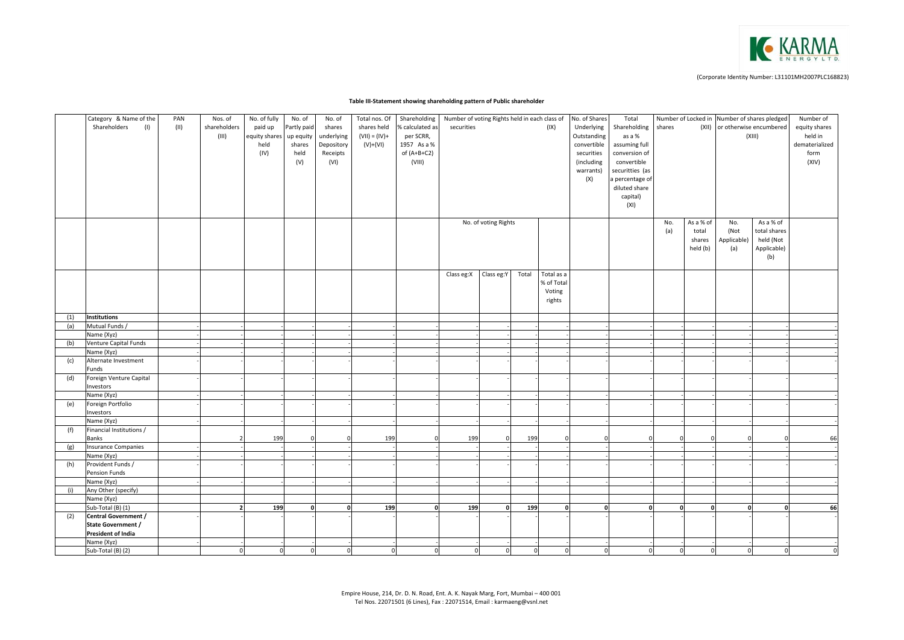

## **Table III‐Statement showing shareholding pattern of Public shareholder**

|     | Category & Name of the              | PAN  | Nos. of                  | No. of fully   | No. of         | No. of       | Total nos. Of    | Shareholding    | Number of voting Rights held in each class of |                      |          |            | No. of Shares | Total           |          |                | Number of Locked in Number of shares pledged |                | Number of      |
|-----|-------------------------------------|------|--------------------------|----------------|----------------|--------------|------------------|-----------------|-----------------------------------------------|----------------------|----------|------------|---------------|-----------------|----------|----------------|----------------------------------------------|----------------|----------------|
|     | Shareholders<br>(1)                 | (11) | shareholders             | paid up        | Partly paid    | shares       | shares held      | % calculated as | securities                                    |                      |          | (IX)       | Underlying    | Shareholding    | shares   |                | (XII) or otherwise encumbered                |                | equity shares  |
|     |                                     |      | (III)                    | equity shares  | up equity      | underlying   | $(VII) = (IV) +$ | per SCRR,       |                                               |                      |          |            | Outstanding   | as a %          |          |                |                                              | (XIII)         | held in        |
|     |                                     |      |                          | held           | shares         | Depository   | $(V)+(VI)$       | 1957 As a %     |                                               |                      |          |            | convertible   | assuming full   |          |                |                                              |                | dematerialized |
|     |                                     |      |                          | (IV)           | held           | Receipts     |                  | of $(A+B+C2)$   |                                               |                      |          |            | securities    | conversion of   |          |                |                                              |                | form           |
|     |                                     |      |                          |                | (V)            | (VI)         |                  | (VIII)          |                                               |                      |          |            | (including    | convertible     |          |                |                                              |                | (XIV)          |
|     |                                     |      |                          |                |                |              |                  |                 |                                               |                      |          |            | warrants)     | securitties (as |          |                |                                              |                |                |
|     |                                     |      |                          |                |                |              |                  |                 |                                               |                      |          |            | (X)           | a percentage of |          |                |                                              |                |                |
|     |                                     |      |                          |                |                |              |                  |                 |                                               |                      |          |            |               | diluted share   |          |                |                                              |                |                |
|     |                                     |      |                          |                |                |              |                  |                 |                                               |                      |          |            |               | capital)        |          |                |                                              |                |                |
|     |                                     |      |                          |                |                |              |                  |                 |                                               |                      |          |            |               | (XI)            |          |                |                                              |                |                |
|     |                                     |      |                          |                |                |              |                  |                 |                                               |                      |          |            |               |                 |          |                |                                              |                |                |
|     |                                     |      |                          |                |                |              |                  |                 |                                               | No. of voting Rights |          |            |               |                 | No.      | As a % of      | No.                                          | As a % of      |                |
|     |                                     |      |                          |                |                |              |                  |                 |                                               |                      |          |            |               |                 | (a)      | total          | (Not                                         | total shares   |                |
|     |                                     |      |                          |                |                |              |                  |                 |                                               |                      |          |            |               |                 |          | shares         | Applicable)                                  | held (Not      |                |
|     |                                     |      |                          |                |                |              |                  |                 |                                               |                      |          |            |               |                 |          | held (b)       | (a)                                          | Applicable)    |                |
|     |                                     |      |                          |                |                |              |                  |                 |                                               |                      |          |            |               |                 |          |                |                                              | (b)            |                |
|     |                                     |      |                          |                |                |              |                  |                 |                                               |                      |          |            |               |                 |          |                |                                              |                |                |
|     |                                     |      |                          |                |                |              |                  |                 | Class eg:X                                    | Class eg:Y           | Total    | Total as a |               |                 |          |                |                                              |                |                |
|     |                                     |      |                          |                |                |              |                  |                 |                                               |                      |          | % of Total |               |                 |          |                |                                              |                |                |
|     |                                     |      |                          |                |                |              |                  |                 |                                               |                      |          | Voting     |               |                 |          |                |                                              |                |                |
|     |                                     |      |                          |                |                |              |                  |                 |                                               |                      |          | rights     |               |                 |          |                |                                              |                |                |
|     |                                     |      |                          |                |                |              |                  |                 |                                               |                      |          |            |               |                 |          |                |                                              |                |                |
| (1) | <b>Institutions</b>                 |      |                          |                |                |              |                  |                 |                                               |                      |          |            |               |                 |          |                |                                              |                |                |
| (a) | Mutual Funds /                      |      |                          |                |                |              |                  |                 |                                               |                      |          |            |               |                 |          |                |                                              |                |                |
|     | Name (Xyz)                          |      |                          |                |                |              |                  |                 |                                               |                      |          |            |               |                 |          |                |                                              |                |                |
| (b) | Venture Capital Funds<br>Name (Xyz) |      |                          |                |                |              |                  |                 |                                               |                      |          |            |               |                 |          |                |                                              |                |                |
|     | Alternate Investment                |      |                          |                |                |              |                  |                 |                                               |                      |          |            |               |                 |          |                |                                              |                |                |
| (c) | Funds                               |      |                          |                |                |              |                  |                 |                                               |                      |          |            |               |                 |          |                |                                              |                |                |
| (d) | Foreign Venture Capital             |      |                          |                |                |              |                  |                 |                                               |                      |          |            |               |                 |          |                |                                              |                |                |
|     | Investors                           |      |                          |                |                |              |                  |                 |                                               |                      |          |            |               |                 |          |                |                                              |                |                |
|     | Name (Xyz)                          |      |                          |                |                |              |                  |                 |                                               |                      |          |            |               |                 |          |                |                                              |                |                |
| (e) | Foreign Portfolio                   |      |                          |                |                |              |                  |                 |                                               |                      |          |            |               |                 |          |                |                                              |                |                |
|     | Investors                           |      |                          |                |                |              |                  |                 |                                               |                      |          |            |               |                 |          |                |                                              |                |                |
|     | Name (Xyz)                          |      |                          |                |                |              |                  |                 |                                               |                      |          |            |               |                 |          |                |                                              |                |                |
| (f) | Financial Institutions /            |      |                          |                |                |              |                  |                 |                                               |                      |          |            |               |                 |          |                |                                              |                |                |
|     | <b>Banks</b>                        |      |                          | 199            | $\Omega$       |              | 199              | n               | 199                                           |                      | 199      |            |               |                 |          |                |                                              |                | 66             |
| (g) | <b>Insurance Companies</b>          |      |                          |                |                |              |                  |                 |                                               |                      |          |            |               |                 |          |                |                                              |                |                |
|     | Name (Xyz)                          |      |                          |                |                |              |                  |                 |                                               |                      |          |            |               |                 |          |                |                                              |                |                |
| (h) | Provident Funds /                   |      |                          |                |                |              |                  |                 |                                               |                      |          |            |               |                 |          |                |                                              |                |                |
|     | Pension Funds                       |      |                          |                |                |              |                  |                 |                                               |                      |          |            |               |                 |          |                |                                              |                |                |
|     | Name (Xyz)                          |      |                          |                |                |              |                  |                 |                                               |                      |          |            |               |                 |          |                |                                              |                |                |
| (i) | Any Other (specify)                 |      |                          |                |                |              |                  |                 |                                               |                      |          |            |               |                 |          |                |                                              |                |                |
|     | Name (Xyz)                          |      |                          |                |                |              |                  |                 |                                               |                      |          |            |               |                 |          |                |                                              |                |                |
|     | Sub-Total (B) (1)                   |      | $\overline{\phantom{a}}$ | 199            | $\mathbf{0}$   | 0            | 199              | $\mathbf{0}$    | 199                                           | $\Omega$             | 199      |            | $\mathbf{0}$  |                 | $\Omega$ | $\Omega$       | $\mathbf{a}$                                 | $\mathbf{0}$   | 66             |
| (2) | Central Government /                |      |                          |                |                |              |                  |                 |                                               |                      |          |            |               |                 |          |                |                                              |                |                |
|     | <b>State Government /</b>           |      |                          |                |                |              |                  |                 |                                               |                      |          |            |               |                 |          |                |                                              |                |                |
|     | President of India                  |      |                          |                |                |              |                  |                 |                                               |                      |          |            |               |                 |          |                |                                              |                |                |
|     | Name (Xyz)                          |      |                          |                |                |              |                  |                 |                                               |                      |          |            |               |                 |          |                |                                              |                |                |
|     | Sub-Total (B) (2)                   |      | $\Omega$                 | $\overline{0}$ | $\overline{0}$ | $\mathbf{0}$ | $\Omega$         | $\overline{0}$  | $\Omega$                                      | $\Omega$             | $\Omega$ | $\circ$    | $\mathbf{0}$  | $\Omega$        | $\Omega$ | $\overline{0}$ | $\overline{0}$                               | $\overline{0}$ | $\Omega$       |
|     |                                     |      |                          |                |                |              |                  |                 |                                               |                      |          |            |               |                 |          |                |                                              |                |                |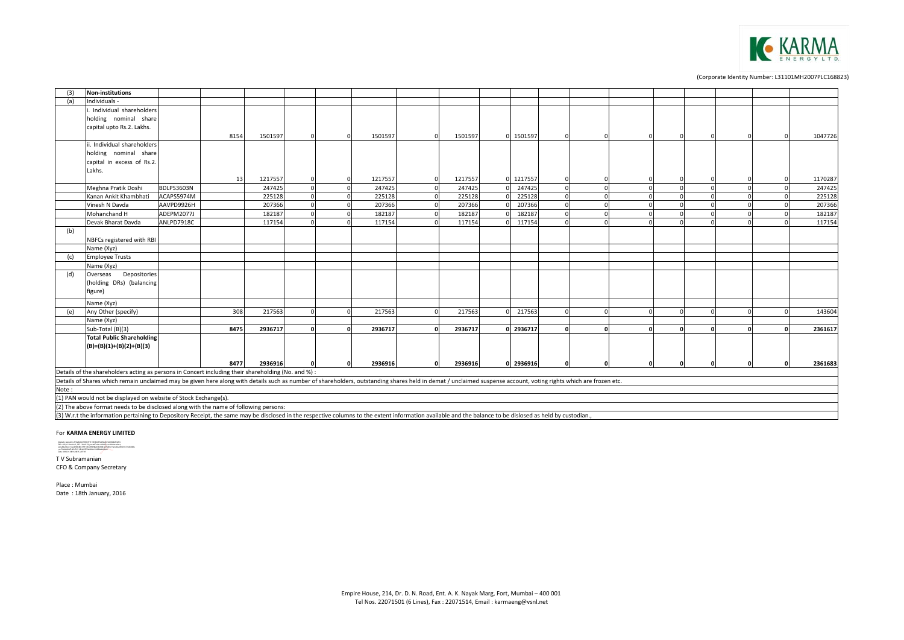

| (3)   | Non-institutions                                                                                                                                                                                                 |            |      |         |   |         |            |         |         |            |          |          |   |  |         |
|-------|------------------------------------------------------------------------------------------------------------------------------------------------------------------------------------------------------------------|------------|------|---------|---|---------|------------|---------|---------|------------|----------|----------|---|--|---------|
| (a)   | Individuals -                                                                                                                                                                                                    |            |      |         |   |         |            |         |         |            |          |          |   |  |         |
|       | Individual shareholders                                                                                                                                                                                          |            |      |         |   |         |            |         |         |            |          |          |   |  |         |
|       | holding nominal share                                                                                                                                                                                            |            |      |         |   |         |            |         |         |            |          |          |   |  |         |
|       | capital upto Rs.2. Lakhs.                                                                                                                                                                                        |            |      |         |   |         |            |         |         |            |          |          |   |  |         |
|       |                                                                                                                                                                                                                  |            | 8154 | 1501597 |   | 1501597 | $\Omega$   | 1501597 | 1501597 |            |          |          |   |  | 1047726 |
|       | i. Individual shareholders                                                                                                                                                                                       |            |      |         |   |         |            |         |         |            |          |          |   |  |         |
|       | holding nominal share                                                                                                                                                                                            |            |      |         |   |         |            |         |         |            |          |          |   |  |         |
|       | capital in excess of Rs.2.                                                                                                                                                                                       |            |      |         |   |         |            |         |         |            |          |          |   |  |         |
|       | Lakhs.                                                                                                                                                                                                           |            |      |         |   |         |            |         |         |            |          |          |   |  |         |
|       |                                                                                                                                                                                                                  |            | 13   | 1217557 |   | 1217557 | $\Omega$   | 1217557 | 1217557 |            |          |          |   |  | 1170287 |
|       | Meghna Pratik Doshi                                                                                                                                                                                              | BDLPS3603N |      | 247425  |   | 247425  | $\Omega$   | 247425  | 247425  |            |          | $\Omega$ |   |  | 247425  |
|       | Kanan Ankit Khambhati                                                                                                                                                                                            | ACAPS5974M |      | 225128  |   | 225128  | $\Omega$   | 225128  | 225128  |            |          |          |   |  | 225128  |
|       | Vinesh N Davda                                                                                                                                                                                                   | AAVPD9926H |      | 207366  |   | 207366  |            | 207366  | 207366  |            |          |          |   |  | 207366  |
|       | Mohanchand H                                                                                                                                                                                                     | ADEPM2077J |      | 182187  |   | 182187  |            | 182187  | 182187  |            |          | $\Omega$ | c |  | 182187  |
|       | Devak Bharat Davda                                                                                                                                                                                               | ANLPD7918C |      | 117154  |   | 117154  |            | 117154  | 117154  |            |          |          |   |  | 117154  |
| (b)   |                                                                                                                                                                                                                  |            |      |         |   |         |            |         |         |            |          |          |   |  |         |
|       | NBFCs registered with RBI                                                                                                                                                                                        |            |      |         |   |         |            |         |         |            |          |          |   |  |         |
|       | Name (Xyz)                                                                                                                                                                                                       |            |      |         |   |         |            |         |         |            |          |          |   |  |         |
| (c)   | <b>Employee Trusts</b>                                                                                                                                                                                           |            |      |         |   |         |            |         |         |            |          |          |   |  |         |
|       | Name (Xyz)                                                                                                                                                                                                       |            |      |         |   |         |            |         |         |            |          |          |   |  |         |
| (d)   | Depositories<br>Overseas                                                                                                                                                                                         |            |      |         |   |         |            |         |         |            |          |          |   |  |         |
|       | (holding DRs) (balancing                                                                                                                                                                                         |            |      |         |   |         |            |         |         |            |          |          |   |  |         |
|       | figure)                                                                                                                                                                                                          |            |      |         |   |         |            |         |         |            |          |          |   |  |         |
|       | Name (Xyz)                                                                                                                                                                                                       |            |      |         |   |         |            |         |         |            |          |          |   |  |         |
| (e)   | Any Other (specify)                                                                                                                                                                                              |            | 308  | 217563  |   | 217563  |            | 217563  | 217563  |            |          |          |   |  | 143604  |
|       | Name (Xyz)                                                                                                                                                                                                       |            |      |         |   |         |            |         |         |            |          |          |   |  |         |
|       | Sub-Total (B)(3)                                                                                                                                                                                                 |            | 8475 | 2936717 | n | 2936717 | $\sqrt{2}$ | 2936717 | 2936717 | $\sqrt{ }$ | $\Omega$ | $\Omega$ |   |  | 2361617 |
|       | <b>Total Public Shareholding</b>                                                                                                                                                                                 |            |      |         |   |         |            |         |         |            |          |          |   |  |         |
|       | $(B)=(B)(1)+(B)(2)+(B)(3)$                                                                                                                                                                                       |            |      |         |   |         |            |         |         |            |          |          |   |  |         |
|       |                                                                                                                                                                                                                  |            |      |         |   |         |            |         |         |            |          |          |   |  |         |
|       |                                                                                                                                                                                                                  |            | 8477 | 2936916 |   | 2936916 |            | 2936916 | 2936916 |            |          |          |   |  | 2361683 |
|       | Details of the shareholders acting as persons in Concert including their shareholding (No. and %) :                                                                                                              |            |      |         |   |         |            |         |         |            |          |          |   |  |         |
|       | Details of Shares which remain unclaimed may be given here along with details such as number of shareholders, outstanding shares held in demat / unclaimed suspense account, voting rights which are frozen etc. |            |      |         |   |         |            |         |         |            |          |          |   |  |         |
| Note: |                                                                                                                                                                                                                  |            |      |         |   |         |            |         |         |            |          |          |   |  |         |
|       | (1) PAN would not be displayed on website of Stock Exchange(s).                                                                                                                                                  |            |      |         |   |         |            |         |         |            |          |          |   |  |         |
|       | (2) The above format needs to be disclosed along with the name of following persons:                                                                                                                             |            |      |         |   |         |            |         |         |            |          |          |   |  |         |

(3) W.r.t the information pertaining to Depository Receipt, the same may be disclosed in the respective columns to the extent information available and the balance to be dislosed as held by custodian.,

## For **KARMA ENERGY LIMITED**

Digitally signed by THAMAAR/THRI/THY VENKATES NARÁN SJERAMAANIAN<br>DIR Colly, a-Pensonal, CDD - 1016/TN, pozzi Colle-A00022, cs.Ababasabos,<br>collibilation - Jan-SPREAR/TPH + AHCRIPRIal/HE/AR/27/System 15.6 mil.2010.007 2e4650

T V Subramanian

CFO & Company Secretary

Place : Mumbai Date : 18th January, 2016